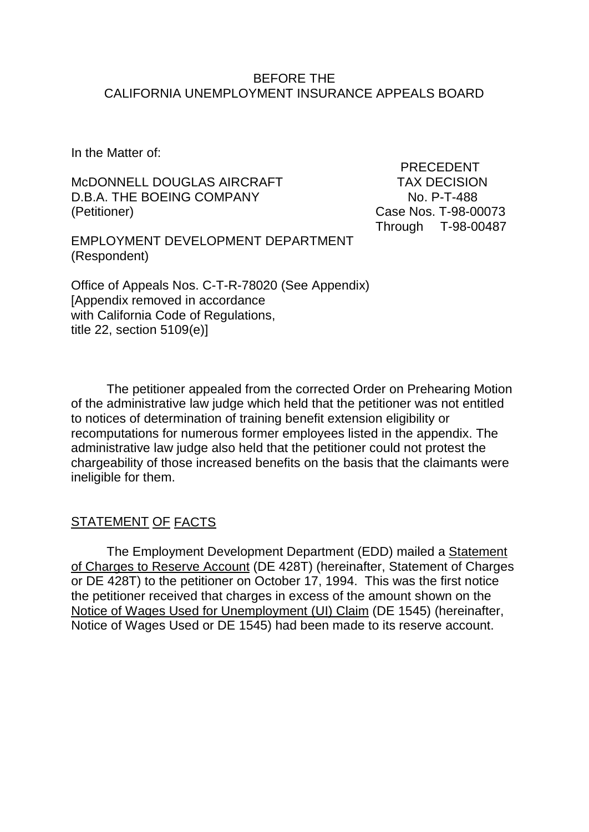#### BEFORE THE CALIFORNIA UNEMPLOYMENT INSURANCE APPEALS BOARD

In the Matter of:

McDONNELL DOUGLAS AIRCRAFT TAX DECISION D.B.A. THE BOEING COMPANY NO. P-T-488 (Petitioner) Case Nos. T-98-00073

 PRECEDENT Through T-98-00487

EMPLOYMENT DEVELOPMENT DEPARTMENT (Respondent)

Office of Appeals Nos. C-T-R-78020 (See Appendix) [Appendix removed in accordance with California Code of Regulations, title 22, section 5109(e)]

The petitioner appealed from the corrected Order on Prehearing Motion of the administrative law judge which held that the petitioner was not entitled to notices of determination of training benefit extension eligibility or recomputations for numerous former employees listed in the appendix. The administrative law judge also held that the petitioner could not protest the chargeability of those increased benefits on the basis that the claimants were ineligible for them.

# STATEMENT OF FACTS

The Employment Development Department (EDD) mailed a Statement of Charges to Reserve Account (DE 428T) (hereinafter, Statement of Charges or DE 428T) to the petitioner on October 17, 1994. This was the first notice the petitioner received that charges in excess of the amount shown on the Notice of Wages Used for Unemployment (UI) Claim (DE 1545) (hereinafter, Notice of Wages Used or DE 1545) had been made to its reserve account.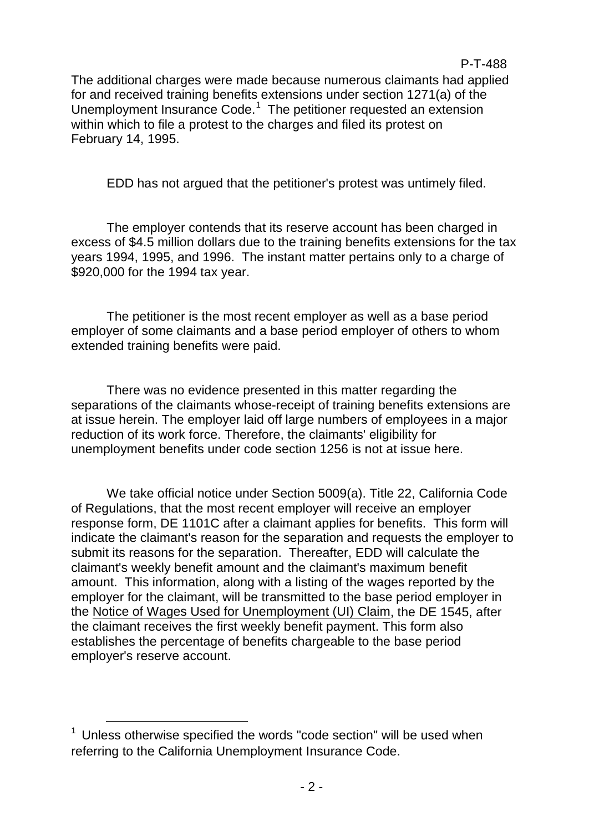The additional charges were made because numerous claimants had applied for and received training benefits extensions under section 1271(a) of the Unemployment Insurance Code.<sup>[1](#page-1-0)</sup> The petitioner requested an extension within which to file a protest to the charges and filed its protest on February 14, 1995.

EDD has not argued that the petitioner's protest was untimely filed.

The employer contends that its reserve account has been charged in excess of \$4.5 million dollars due to the training benefits extensions for the tax years 1994, 1995, and 1996. The instant matter pertains only to a charge of \$920,000 for the 1994 tax year.

The petitioner is the most recent employer as well as a base period employer of some claimants and a base period employer of others to whom extended training benefits were paid.

There was no evidence presented in this matter regarding the separations of the claimants whose-receipt of training benefits extensions are at issue herein. The employer laid off large numbers of employees in a major reduction of its work force. Therefore, the claimants' eligibility for unemployment benefits under code section 1256 is not at issue here.

We take official notice under Section 5009(a). Title 22, California Code of Regulations, that the most recent employer will receive an employer response form, DE 1101C after a claimant applies for benefits. This form will indicate the claimant's reason for the separation and requests the employer to submit its reasons for the separation. Thereafter, EDD will calculate the claimant's weekly benefit amount and the claimant's maximum benefit amount. This information, along with a listing of the wages reported by the employer for the claimant, will be transmitted to the base period employer in the Notice of Wages Used for Unemployment (UI) Claim, the DE 1545, after the claimant receives the first weekly benefit payment. This form also establishes the percentage of benefits chargeable to the base period employer's reserve account.

<span id="page-1-0"></span> $1$  Unless otherwise specified the words "code section" will be used when referring to the California Unemployment Insurance Code.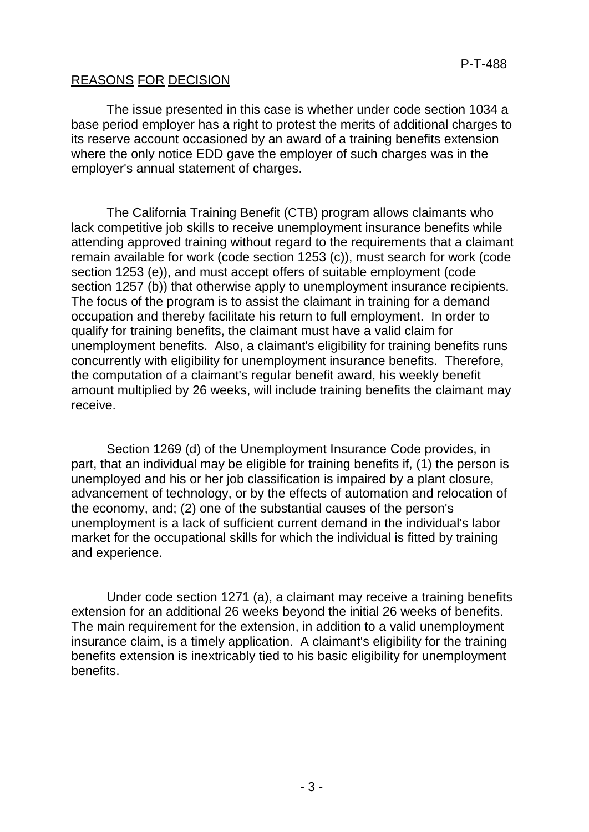# REASONS FOR DECISION

The issue presented in this case is whether under code section 1034 a base period employer has a right to protest the merits of additional charges to its reserve account occasioned by an award of a training benefits extension where the only notice EDD gave the employer of such charges was in the employer's annual statement of charges.

The California Training Benefit (CTB) program allows claimants who lack competitive job skills to receive unemployment insurance benefits while attending approved training without regard to the requirements that a claimant remain available for work (code section 1253 (c)), must search for work (code section 1253 (e)), and must accept offers of suitable employment (code section 1257 (b)) that otherwise apply to unemployment insurance recipients. The focus of the program is to assist the claimant in training for a demand occupation and thereby facilitate his return to full employment. In order to qualify for training benefits, the claimant must have a valid claim for unemployment benefits. Also, a claimant's eligibility for training benefits runs concurrently with eligibility for unemployment insurance benefits. Therefore, the computation of a claimant's regular benefit award, his weekly benefit amount multiplied by 26 weeks, will include training benefits the claimant may receive.

Section 1269 (d) of the Unemployment Insurance Code provides, in part, that an individual may be eligible for training benefits if, (1) the person is unemployed and his or her job classification is impaired by a plant closure, advancement of technology, or by the effects of automation and relocation of the economy, and; (2) one of the substantial causes of the person's unemployment is a lack of sufficient current demand in the individual's labor market for the occupational skills for which the individual is fitted by training and experience.

Under code section 1271 (a), a claimant may receive a training benefits extension for an additional 26 weeks beyond the initial 26 weeks of benefits. The main requirement for the extension, in addition to a valid unemployment insurance claim, is a timely application. A claimant's eligibility for the training benefits extension is inextricably tied to his basic eligibility for unemployment benefits.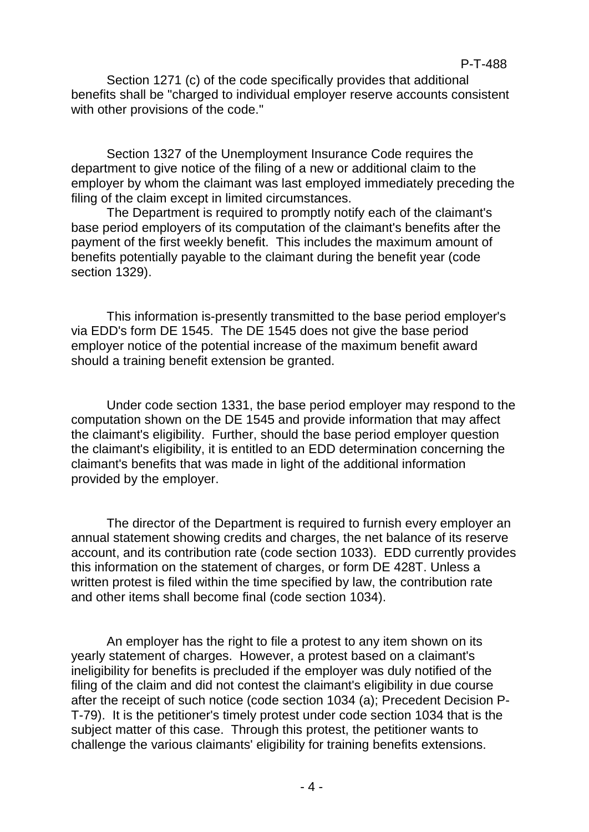Section 1271 (c) of the code specifically provides that additional benefits shall be "charged to individual employer reserve accounts consistent with other provisions of the code."

Section 1327 of the Unemployment Insurance Code requires the department to give notice of the filing of a new or additional claim to the employer by whom the claimant was last employed immediately preceding the filing of the claim except in limited circumstances.

The Department is required to promptly notify each of the claimant's base period employers of its computation of the claimant's benefits after the payment of the first weekly benefit. This includes the maximum amount of benefits potentially payable to the claimant during the benefit year (code section 1329).

This information is-presently transmitted to the base period employer's via EDD's form DE 1545. The DE 1545 does not give the base period employer notice of the potential increase of the maximum benefit award should a training benefit extension be granted.

Under code section 1331, the base period employer may respond to the computation shown on the DE 1545 and provide information that may affect the claimant's eligibility. Further, should the base period employer question the claimant's eligibility, it is entitled to an EDD determination concerning the claimant's benefits that was made in light of the additional information provided by the employer.

The director of the Department is required to furnish every employer an annual statement showing credits and charges, the net balance of its reserve account, and its contribution rate (code section 1033). EDD currently provides this information on the statement of charges, or form DE 428T. Unless a written protest is filed within the time specified by law, the contribution rate and other items shall become final (code section 1034).

An employer has the right to file a protest to any item shown on its yearly statement of charges. However, a protest based on a claimant's ineligibility for benefits is precluded if the employer was duly notified of the filing of the claim and did not contest the claimant's eligibility in due course after the receipt of such notice (code section 1034 (a); Precedent Decision P-T-79). It is the petitioner's timely protest under code section 1034 that is the subject matter of this case. Through this protest, the petitioner wants to challenge the various claimants' eligibility for training benefits extensions.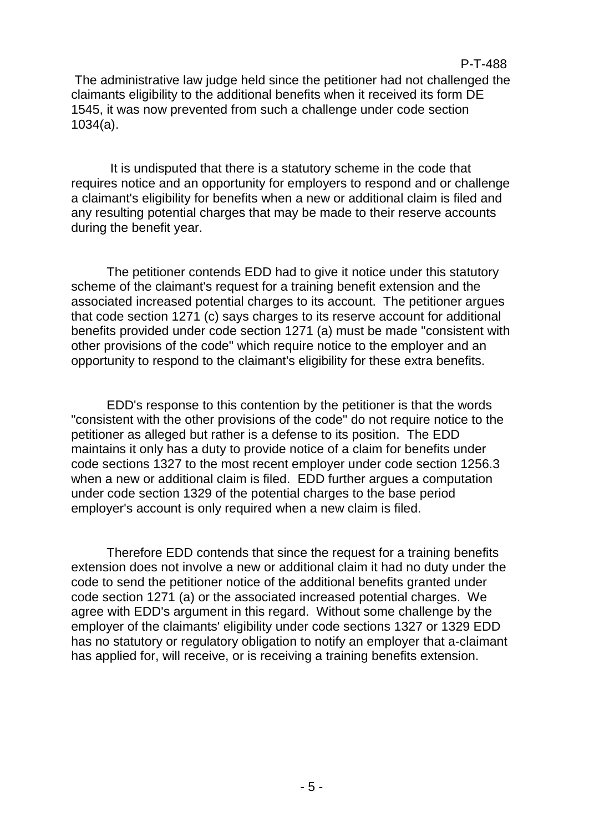The administrative law judge held since the petitioner had not challenged the claimants eligibility to the additional benefits when it received its form DE 1545, it was now prevented from such a challenge under code section 1034(a).

P-T-488

It is undisputed that there is a statutory scheme in the code that requires notice and an opportunity for employers to respond and or challenge a claimant's eligibility for benefits when a new or additional claim is filed and any resulting potential charges that may be made to their reserve accounts during the benefit year.

The petitioner contends EDD had to give it notice under this statutory scheme of the claimant's request for a training benefit extension and the associated increased potential charges to its account. The petitioner argues that code section 1271 (c) says charges to its reserve account for additional benefits provided under code section 1271 (a) must be made "consistent with other provisions of the code" which require notice to the employer and an opportunity to respond to the claimant's eligibility for these extra benefits.

EDD's response to this contention by the petitioner is that the words "consistent with the other provisions of the code" do not require notice to the petitioner as alleged but rather is a defense to its position. The EDD maintains it only has a duty to provide notice of a claim for benefits under code sections 1327 to the most recent employer under code section 1256.3 when a new or additional claim is filed. EDD further argues a computation under code section 1329 of the potential charges to the base period employer's account is only required when a new claim is filed.

Therefore EDD contends that since the request for a training benefits extension does not involve a new or additional claim it had no duty under the code to send the petitioner notice of the additional benefits granted under code section 1271 (a) or the associated increased potential charges. We agree with EDD's argument in this regard. Without some challenge by the employer of the claimants' eligibility under code sections 1327 or 1329 EDD has no statutory or regulatory obligation to notify an employer that a-claimant has applied for, will receive, or is receiving a training benefits extension.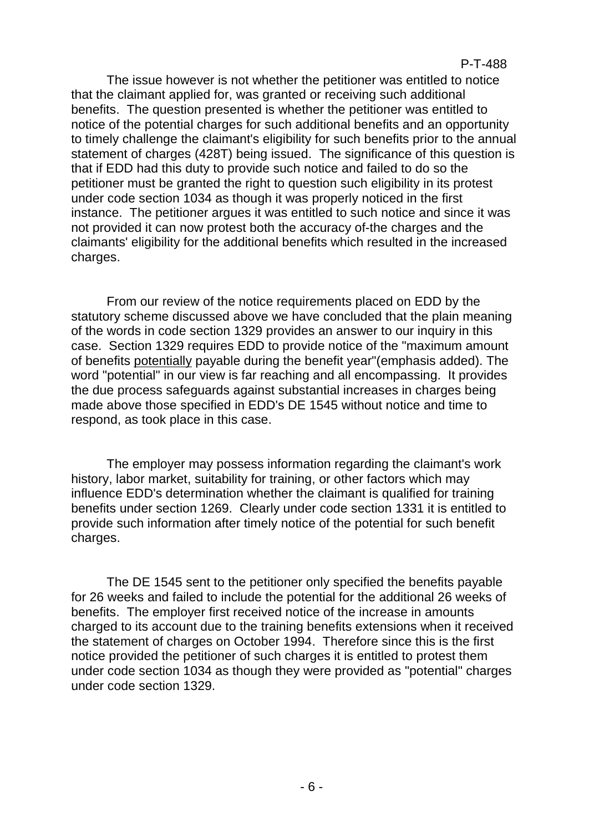The issue however is not whether the petitioner was entitled to notice that the claimant applied for, was granted or receiving such additional benefits. The question presented is whether the petitioner was entitled to notice of the potential charges for such additional benefits and an opportunity to timely challenge the claimant's eligibility for such benefits prior to the annual statement of charges (428T) being issued. The significance of this question is that if EDD had this duty to provide such notice and failed to do so the petitioner must be granted the right to question such eligibility in its protest under code section 1034 as though it was properly noticed in the first instance. The petitioner argues it was entitled to such notice and since it was not provided it can now protest both the accuracy of-the charges and the claimants' eligibility for the additional benefits which resulted in the increased charges.

From our review of the notice requirements placed on EDD by the statutory scheme discussed above we have concluded that the plain meaning of the words in code section 1329 provides an answer to our inquiry in this case. Section 1329 requires EDD to provide notice of the "maximum amount of benefits potentially payable during the benefit year"(emphasis added). The word "potential" in our view is far reaching and all encompassing. It provides the due process safeguards against substantial increases in charges being made above those specified in EDD's DE 1545 without notice and time to respond, as took place in this case.

The employer may possess information regarding the claimant's work history, labor market, suitability for training, or other factors which may influence EDD's determination whether the claimant is qualified for training benefits under section 1269. Clearly under code section 1331 it is entitled to provide such information after timely notice of the potential for such benefit charges.

The DE 1545 sent to the petitioner only specified the benefits payable for 26 weeks and failed to include the potential for the additional 26 weeks of benefits. The employer first received notice of the increase in amounts charged to its account due to the training benefits extensions when it received the statement of charges on October 1994. Therefore since this is the first notice provided the petitioner of such charges it is entitled to protest them under code section 1034 as though they were provided as "potential" charges under code section 1329.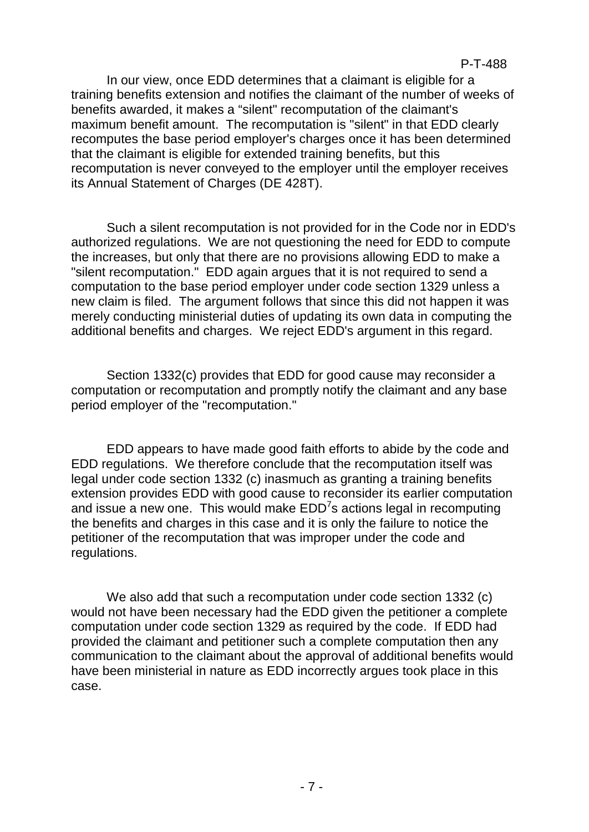In our view, once EDD determines that a claimant is eligible for a training benefits extension and notifies the claimant of the number of weeks of benefits awarded, it makes a "silent" recomputation of the claimant's maximum benefit amount. The recomputation is "silent" in that EDD clearly recomputes the base period employer's charges once it has been determined that the claimant is eligible for extended training benefits, but this recomputation is never conveyed to the employer until the employer receives its Annual Statement of Charges (DE 428T).

Such a silent recomputation is not provided for in the Code nor in EDD's authorized regulations. We are not questioning the need for EDD to compute the increases, but only that there are no provisions allowing EDD to make a "silent recomputation." EDD again argues that it is not required to send a computation to the base period employer under code section 1329 unless a new claim is filed. The argument follows that since this did not happen it was merely conducting ministerial duties of updating its own data in computing the additional benefits and charges. We reject EDD's argument in this regard.

Section 1332(c) provides that EDD for good cause may reconsider a computation or recomputation and promptly notify the claimant and any base period employer of the "recomputation."

EDD appears to have made good faith efforts to abide by the code and EDD regulations. We therefore conclude that the recomputation itself was legal under code section 1332 (c) inasmuch as granting a training benefits extension provides EDD with good cause to reconsider its earlier computation and issue a new one. This would make  $EDD<sup>7</sup>$ s actions legal in recomputing the benefits and charges in this case and it is only the failure to notice the petitioner of the recomputation that was improper under the code and regulations.

We also add that such a recomputation under code section 1332 (c) would not have been necessary had the EDD given the petitioner a complete computation under code section 1329 as required by the code. If EDD had provided the claimant and petitioner such a complete computation then any communication to the claimant about the approval of additional benefits would have been ministerial in nature as EDD incorrectly argues took place in this case.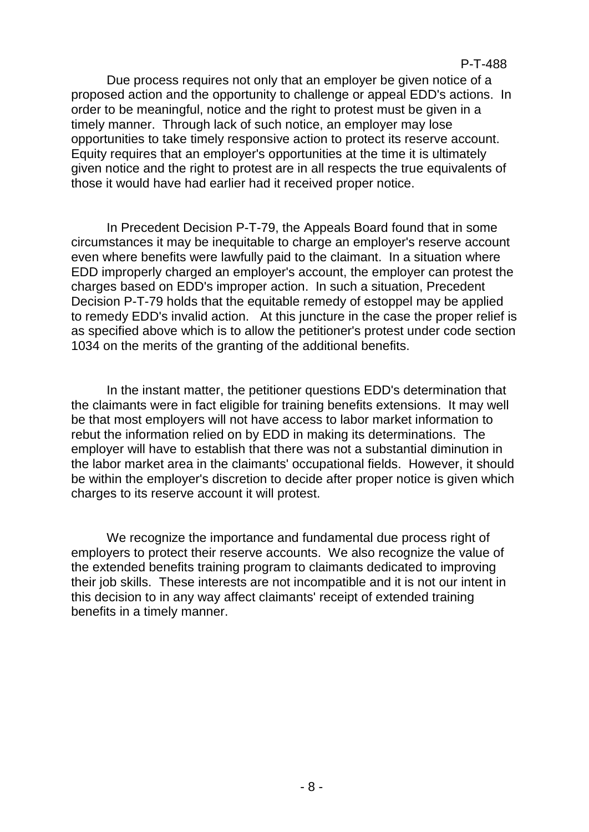Due process requires not only that an employer be given notice of a proposed action and the opportunity to challenge or appeal EDD's actions. In order to be meaningful, notice and the right to protest must be given in a timely manner. Through lack of such notice, an employer may lose opportunities to take timely responsive action to protect its reserve account. Equity requires that an employer's opportunities at the time it is ultimately given notice and the right to protest are in all respects the true equivalents of those it would have had earlier had it received proper notice.

In Precedent Decision P-T-79, the Appeals Board found that in some circumstances it may be inequitable to charge an employer's reserve account even where benefits were lawfully paid to the claimant. In a situation where EDD improperly charged an employer's account, the employer can protest the charges based on EDD's improper action. In such a situation, Precedent Decision P-T-79 holds that the equitable remedy of estoppel may be applied to remedy EDD's invalid action. At this juncture in the case the proper relief is as specified above which is to allow the petitioner's protest under code section 1034 on the merits of the granting of the additional benefits.

In the instant matter, the petitioner questions EDD's determination that the claimants were in fact eligible for training benefits extensions. It may well be that most employers will not have access to labor market information to rebut the information relied on by EDD in making its determinations. The employer will have to establish that there was not a substantial diminution in the labor market area in the claimants' occupational fields. However, it should be within the employer's discretion to decide after proper notice is given which charges to its reserve account it will protest.

We recognize the importance and fundamental due process right of employers to protect their reserve accounts. We also recognize the value of the extended benefits training program to claimants dedicated to improving their job skills. These interests are not incompatible and it is not our intent in this decision to in any way affect claimants' receipt of extended training benefits in a timely manner.